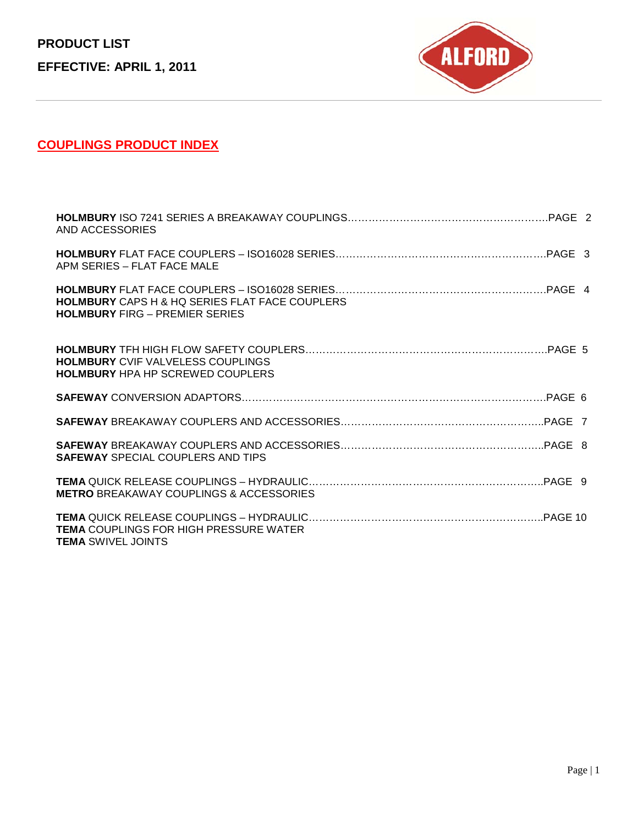**PRODUCT LIST EFFECTIVE: APRIL 1, 2011**



# **COUPLINGS PRODUCT INDEX**

| AND ACCESSORIES                                                                                |
|------------------------------------------------------------------------------------------------|
| APM SERIES - FLAT FACE MALE                                                                    |
| <b>HOLMBURY</b> CAPS H & HQ SERIES FLAT FACE COUPLERS<br><b>HOLMBURY FIRG - PREMIER SERIES</b> |
| <b>HOLMBURY CVIF VALVELESS COUPLINGS</b><br><b>HOLMBURY HPA HP SCREWED COUPLERS</b>            |
|                                                                                                |
|                                                                                                |
| <b>SAFEWAY SPECIAL COUPLERS AND TIPS</b>                                                       |
| <b>METRO BREAKAWAY COUPLINGS &amp; ACCESSORIES</b>                                             |
| <b>TEMA COUPLINGS FOR HIGH PRESSURE WATER</b><br><b>TEMA SWIVEL JOINTS</b>                     |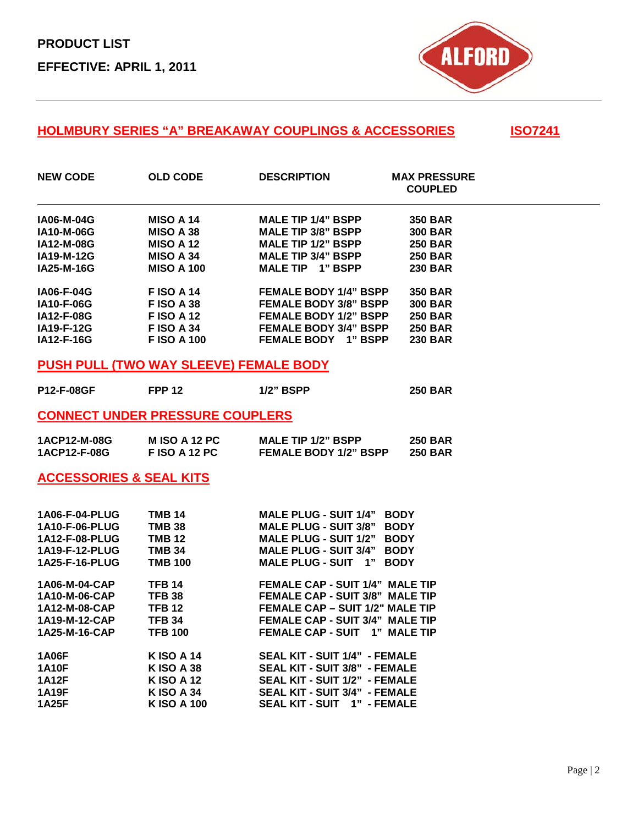

#### **HOLMBURY SERIES "A" BREAKAWAY COUPLINGS & ACCESSORIES ISO7241**

| <b>NEW CODE</b>   | <b>OLD CODE</b>   | <b>DESCRIPTION</b>            | <b>MAX PRESSURE</b><br><b>COUPLED</b> |  |
|-------------------|-------------------|-------------------------------|---------------------------------------|--|
| <b>IA06-M-04G</b> | <b>MISO A 14</b>  | <b>MALE TIP 1/4" BSPP</b>     | <b>350 BAR</b>                        |  |
| <b>IA10-M-06G</b> | <b>MISO A 38</b>  | <b>MALE TIP 3/8" BSPP</b>     | <b>300 BAR</b>                        |  |
| <b>IA12-M-08G</b> | <b>MISO A 12</b>  | <b>MALE TIP 1/2" BSPP</b>     | <b>250 BAR</b>                        |  |
| <b>IA19-M-12G</b> | <b>MISO A 34</b>  | <b>MALE TIP 3/4" BSPP</b>     | <b>250 BAR</b>                        |  |
| IA25-M-16G        | <b>MISO A 100</b> | <b>MALE TIP</b><br>1" BSPP    | <b>230 BAR</b>                        |  |
| <b>IA06-F-04G</b> | <b>FISO A 14</b>  | <b>FEMALE BODY 1/4" BSPP</b>  | <b>350 BAR</b>                        |  |
| <b>IA10-F-06G</b> | <b>FISO A 38</b>  | <b>FEMALE BODY 3/8" BSPP</b>  | <b>300 BAR</b>                        |  |
| <b>IA12-F-08G</b> | <b>FISO A 12</b>  | <b>FEMALE BODY 1/2" BSPP</b>  | <b>250 BAR</b>                        |  |
| <b>IA19-F-12G</b> | <b>FISO A 34</b>  | <b>FEMALE BODY 3/4" BSPP</b>  | <b>250 BAR</b>                        |  |
| <b>IA12-F-16G</b> | <b>FISO A 100</b> | 1" BSPP<br><b>FEMALE BODY</b> | <b>230 BAR</b>                        |  |

#### **PUSH PULL (TWO WAY SLEEVE) FEMALE BODY**

| <b>P12-F-08GF</b> | <b>FPP 12</b> | <b>1/2" BSPP</b> | <b>250 BAR</b> |
|-------------------|---------------|------------------|----------------|
|                   |               |                  |                |

#### **CONNECT UNDER PRESSURE COUPLERS**

| 1ACP12-M-08G | MISO A 12 PC | <b>MALE TIP 1/2" BSPP</b>    | <b>250 BAR</b> |
|--------------|--------------|------------------------------|----------------|
| 1ACP12-F-08G | FISO A 12 PC | <b>FEMALE BODY 1/2" BSPP</b> | <b>250 BAR</b> |

### **ACCESSORIES & SEAL KITS**

| 1A06-F-04-PLUG        | <b>TMB 14</b>     | <b>MALE PLUG - SUIT 1/4"</b><br><b>BODY</b> |
|-----------------------|-------------------|---------------------------------------------|
| <b>1A10-F-06-PLUG</b> | <b>TMB 38</b>     | <b>MALE PLUG - SUIT 3/8"</b><br><b>BODY</b> |
| 1A12-F-08-PLUG        | <b>TMB 12</b>     | <b>MALE PLUG - SUIT 1/2"</b><br><b>BODY</b> |
| 1A19-F-12-PLUG        | <b>TMB 34</b>     | <b>MALE PLUG - SUIT 3/4"</b><br><b>BODY</b> |
| 1A25-F-16-PLUG        | <b>TMB 100</b>    | MALE PLUG - SUIT 1"<br><b>BODY</b>          |
| 1A06-M-04-CAP         | <b>TFB 14</b>     | <b>FEMALE CAP - SUIT 1/4" MALE TIP</b>      |
| 1A10-M-06-CAP         | <b>TFB 38</b>     | <b>FEMALE CAP - SUIT 3/8" MALE TIP</b>      |
| 1A12-M-08-CAP         | <b>TFB 12</b>     | <b>FEMALE CAP - SUIT 1/2" MALE TIP</b>      |
| 1A19-M-12-CAP         | <b>TFB 34</b>     | <b>FEMALE CAP - SUIT 3/4" MALE TIP</b>      |
| 1A25-M-16-CAP         | <b>TFB 100</b>    | <b>FEMALE CAP - SUIT 1" MALE TIP</b>        |
| <b>1A06F</b>          | <b>KISO A 14</b>  | <b>SEAL KIT - SUIT 1/4" - FEMALE</b>        |
| <b>1A10F</b>          | <b>KISO A 38</b>  | <b>SEAL KIT - SUIT 3/8" - FEMALE</b>        |
| <b>1A12F</b>          | <b>KISO A 12</b>  | <b>SEAL KIT - SUIT 1/2" - FEMALE</b>        |
| 1A19F                 | K ISO A 34        | <b>SEAL KIT - SUIT 3/4" - FEMALE</b>        |
| <b>1A25F</b>          | <b>KISO A 100</b> | SEAL KIT - SUIT 1" - FEMALE                 |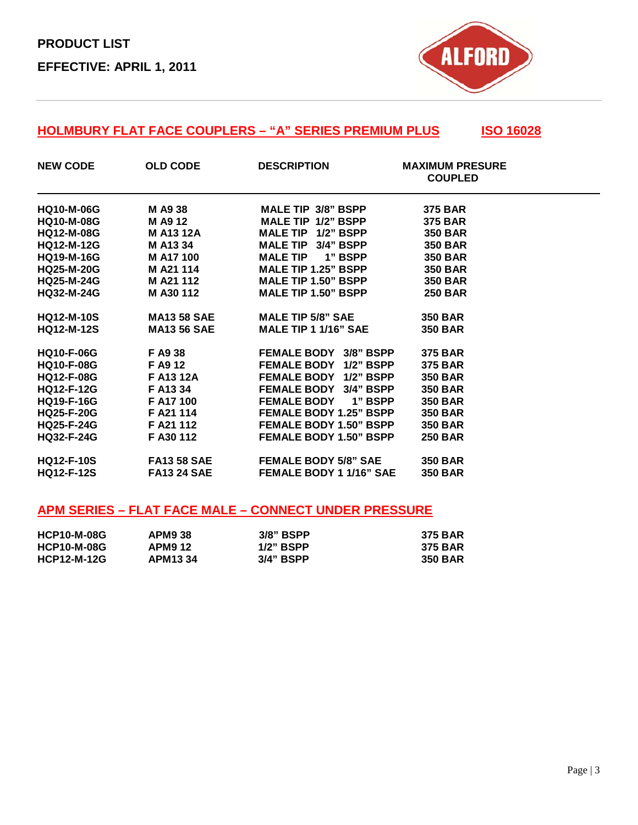

## **HOLMBURY FLAT FACE COUPLERS – "A" SERIES PREMIUM PLUS | ISO 16028**

| <b>NEW CODE</b>   | <b>OLD CODE</b>    | <b>DESCRIPTION</b>                     | <b>MAXIMUM PRESURE</b><br><b>COUPLED</b> |
|-------------------|--------------------|----------------------------------------|------------------------------------------|
| <b>HQ10-M-06G</b> | M A9 38            | <b>MALE TIP 3/8" BSPP</b>              | <b>375 BAR</b>                           |
| <b>HQ10-M-08G</b> | M A9 12            | <b>MALE TIP 1/2" BSPP</b>              | <b>375 BAR</b>                           |
| <b>HQ12-M-08G</b> | <b>M A13 12A</b>   | MALE TIP 1/2" BSPP                     | <b>350 BAR</b>                           |
| <b>HQ12-M-12G</b> | M A13 34           | MALE TIP 3/4" BSPP                     | <b>350 BAR</b>                           |
| <b>HQ19-M-16G</b> | M A17 100          | <b>MALE TIP</b><br>1" BSPP             | <b>350 BAR</b>                           |
| <b>HQ25-M-20G</b> | M A21 114          | <b>MALE TIP 1.25" BSPP</b>             | <b>350 BAR</b>                           |
| <b>HQ25-M-24G</b> | M A21 112          | MALE TIP 1.50" BSPP                    | <b>350 BAR</b>                           |
| <b>HQ32-M-24G</b> | M A30 112          | MALE TIP 1.50" BSPP                    | <b>250 BAR</b>                           |
| <b>HQ12-M-10S</b> | <b>MA13 58 SAE</b> | <b>MALE TIP 5/8" SAE</b>               | <b>350 BAR</b>                           |
| <b>HQ12-M-12S</b> | <b>MA13 56 SAE</b> | <b>MALE TIP 1 1/16" SAE</b>            | <b>350 BAR</b>                           |
| <b>HQ10-F-06G</b> | F A9 38            | <b>FEMALE BODY 3/8" BSPP</b>           | <b>375 BAR</b>                           |
| <b>HQ10-F-08G</b> | F A9 12            | <b>FEMALE BODY</b><br><b>1/2" BSPP</b> | <b>375 BAR</b>                           |
| <b>HQ12-F-08G</b> | F A13 12A          | <b>FEMALE BODY 1/2" BSPP</b>           | <b>350 BAR</b>                           |
| <b>HQ12-F-12G</b> | F A13 34           | <b>FEMALE BODY 3/4" BSPP</b>           | <b>350 BAR</b>                           |
| <b>HQ19-F-16G</b> | F A17 100          | <b>FEMALE BODY</b><br>1" BSPP          | <b>350 BAR</b>                           |
| <b>HQ25-F-20G</b> | F A21 114          | <b>FEMALE BODY 1.25" BSPP</b>          | <b>350 BAR</b>                           |
| <b>HQ25-F-24G</b> | F A21 112          | <b>FEMALE BODY 1.50" BSPP</b>          | <b>350 BAR</b>                           |
| <b>HQ32-F-24G</b> | F A30 112          | <b>FEMALE BODY 1.50" BSPP</b>          | <b>250 BAR</b>                           |
| <b>HQ12-F-10S</b> | <b>FA13 58 SAE</b> | <b>FEMALE BODY 5/8" SAE</b>            | <b>350 BAR</b>                           |
| <b>HQ12-F-12S</b> | <b>FA13 24 SAE</b> | <b>FEMALE BODY 1 1/16" SAE</b>         | <b>350 BAR</b>                           |

## **APM SERIES – FLAT FACE MALE – CONNECT UNDER PRESSURE**

| <b>HCP10-M-08G</b> | <b>APM9 38</b> | $3/8"$ BSPP | <b>375 BAR</b> |
|--------------------|----------------|-------------|----------------|
| <b>HCP10-M-08G</b> | APM9 12        | 1/2" BSPP   | <b>375 BAR</b> |
| <b>HCP12-M-12G</b> | <b>APM1334</b> | $3/4"$ BSPP | <b>350 BAR</b> |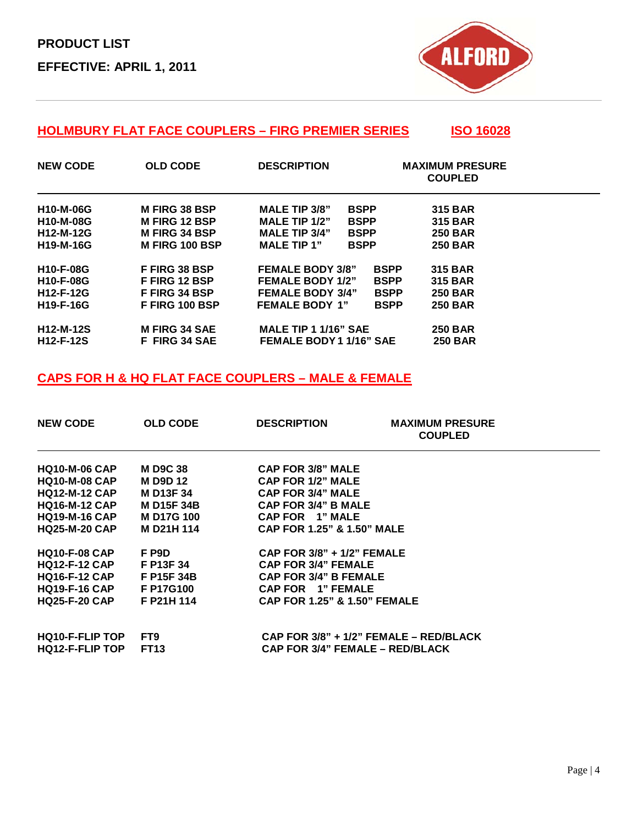

## **HOLMBURY FLAT FACE COUPLERS – FIRG PREMIER SERIES ISO 16028**

| <b>NEW CODE</b>  | <b>OLD CODE</b>       | <b>DESCRIPTION</b>                  | <b>MAXIMUM PRESURE</b><br><b>COUPLED</b> |
|------------------|-----------------------|-------------------------------------|------------------------------------------|
| <b>H10-M-06G</b> | <b>M FIRG 38 BSP</b>  | <b>MALE TIP 3/8"</b><br><b>BSPP</b> | <b>315 BAR</b>                           |
| H10-M-08G        | <b>M FIRG 12 BSP</b>  | MALE TIP $1/2$ "<br><b>BSPP</b>     | <b>315 BAR</b>                           |
| H12-M-12G        | <b>M FIRG 34 BSP</b>  | <b>MALE TIP 3/4"</b><br><b>BSPP</b> | <b>250 BAR</b>                           |
| <b>H19-M-16G</b> | <b>M FIRG 100 BSP</b> | <b>MALE TIP 1"</b><br><b>BSPP</b>   | <b>250 BAR</b>                           |
| <b>H10-F-08G</b> | <b>FFIRG 38 BSP</b>   | <b>FEMALE BODY 3/8"</b>             | <b>315 BAR</b><br><b>BSPP</b>            |
| <b>H10-F-08G</b> | <b>FFIRG 12 BSP</b>   | <b>FEMALE BODY 1/2"</b>             | <b>BSPP</b><br><b>315 BAR</b>            |
| H12-F-12G        | <b>FFIRG 34 BSP</b>   | <b>FEMALE BODY 3/4"</b>             | <b>BSPP</b><br><b>250 BAR</b>            |
| H19-F-16G        | F FIRG 100 BSP        | <b>FEMALE BODY 1"</b>               | <b>250 BAR</b><br><b>BSPP</b>            |
| <b>H12-M-12S</b> | <b>M FIRG 34 SAE</b>  | <b>MALE TIP 1 1/16" SAE</b>         | <b>250 BAR</b>                           |
| <b>H12-F-12S</b> | <b>F FIRG 34 SAE</b>  | <b>FEMALE BODY 1 1/16" SAE</b>      | <b>250 BAR</b>                           |

### **CAPS FOR H & HQ FLAT FACE COUPLERS – MALE & FEMALE**

| <b>NEW CODE</b>        | <b>OLD CODE</b>   | <b>DESCRIPTION</b>                      | <b>MAXIMUM PRESURE</b><br><b>COUPLED</b> |  |
|------------------------|-------------------|-----------------------------------------|------------------------------------------|--|
| <b>HQ10-M-06 CAP</b>   | <b>MD9C38</b>     | <b>CAP FOR 3/8" MALE</b>                |                                          |  |
| <b>HQ10-M-08 CAP</b>   | <b>MD9D12</b>     | <b>CAP FOR 1/2" MALE</b>                |                                          |  |
| <b>HQ12-M-12 CAP</b>   | <b>M D13F 34</b>  | <b>CAP FOR 3/4" MALE</b>                |                                          |  |
| <b>HQ16-M-12 CAP</b>   | <b>M D15F 34B</b> | <b>CAP FOR 3/4" B MALE</b>              |                                          |  |
| <b>HQ19-M-16 CAP</b>   | <b>MD17G100</b>   | CAP FOR 1" MALE                         |                                          |  |
| <b>HQ25-M-20 CAP</b>   | <b>MD21H114</b>   | <b>CAP FOR 1.25" &amp; 1.50" MALE</b>   |                                          |  |
| <b>HQ10-F-08 CAP</b>   | F P9D             | CAP FOR 3/8" + 1/2" FEMALE              |                                          |  |
| <b>HQ12-F-12 CAP</b>   | F P13F 34         | <b>CAP FOR 3/4" FEMALE</b>              |                                          |  |
| <b>HQ16-F-12 CAP</b>   | F P15F 34B        | <b>CAP FOR 3/4" B FEMALE</b>            |                                          |  |
| <b>HQ19-F-16 CAP</b>   | <b>F P17G100</b>  | CAP FOR 1" FEMALE                       |                                          |  |
| <b>HQ25-F-20 CAP</b>   | F P21H 114        | <b>CAP FOR 1.25" &amp; 1.50" FEMALE</b> |                                          |  |
| <b>HQ10-F-FLIP TOP</b> | FT9               | CAP FOR 3/8" + 1/2" FEMALE - RED/BLACK  |                                          |  |
| <b>HQ12-F-FLIP TOP</b> | <b>FT13</b>       | <b>CAP FOR 3/4" FEMALE – RED/BLACK</b>  |                                          |  |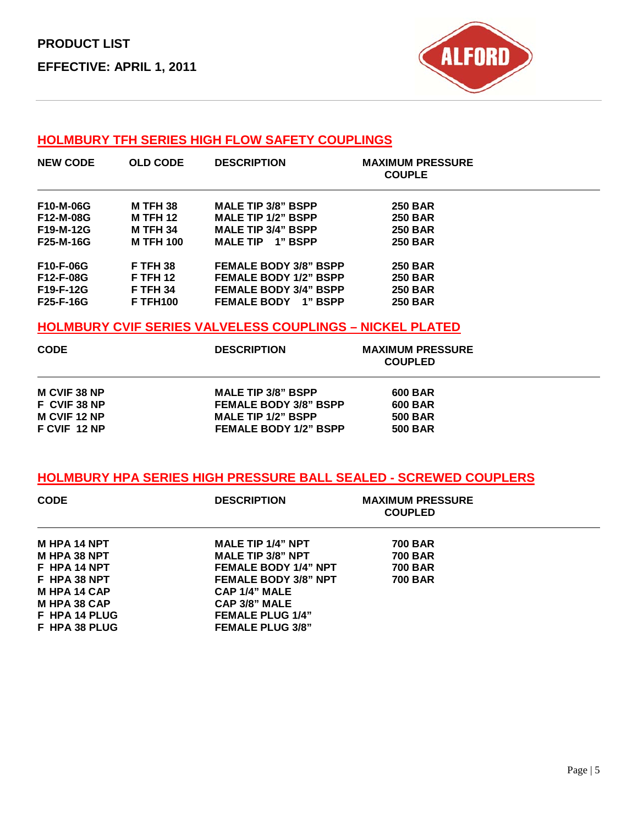

## **HOLMBURY TFH SERIES HIGH FLOW SAFETY COUPLINGS**

| <b>NEW CODE</b>  | <b>OLD CODE</b>  | <b>DESCRIPTION</b>            | <b>MAXIMUM PRESSURE</b><br><b>COUPLE</b> |  |
|------------------|------------------|-------------------------------|------------------------------------------|--|
| F10-M-06G        | <b>M TFH 38</b>  | <b>MALE TIP 3/8" BSPP</b>     | <b>250 BAR</b>                           |  |
| F12-M-08G        | <b>M TFH 12</b>  | <b>MALE TIP 1/2" BSPP</b>     | <b>250 BAR</b>                           |  |
| F19-M-12G        | <b>M TFH 34</b>  | <b>MALE TIP 3/4" BSPP</b>     | <b>250 BAR</b>                           |  |
| <b>F25-M-16G</b> | <b>M TFH 100</b> | <b>MALE TIP</b><br>1" BSPP    | <b>250 BAR</b>                           |  |
| <b>F10-F-06G</b> | <b>F TFH 38</b>  | <b>FEMALE BODY 3/8" BSPP</b>  | <b>250 BAR</b>                           |  |
| F12-F-08G        | <b>F TFH 12</b>  | <b>FEMALE BODY 1/2" BSPP</b>  | <b>250 BAR</b>                           |  |
| F19-F-12G        | <b>F TFH 34</b>  | <b>FEMALE BODY 3/4" BSPP</b>  | <b>250 BAR</b>                           |  |
| <b>F25-F-16G</b> | <b>F TFH100</b>  | <b>FEMALE BODY</b><br>1" BSPP | <b>250 BAR</b>                           |  |

#### **HOLMBURY CVIF SERIES VALVELESS COUPLINGS – NICKEL PLATED**

| <b>CODE</b>         | <b>DESCRIPTION</b>           | <b>MAXIMUM PRESSURE</b><br><b>COUPLED</b> |
|---------------------|------------------------------|-------------------------------------------|
| <b>M CVIF 38 NP</b> | <b>MALE TIP 3/8" BSPP</b>    | 600 BAR                                   |
| F CVIF 38 NP        | <b>FEMALE BODY 3/8" BSPP</b> | <b>600 BAR</b>                            |
| <b>M CVIF 12 NP</b> | <b>MALE TIP 1/2" BSPP</b>    | <b>500 BAR</b>                            |
| F CVIF 12 NP        | <b>FEMALE BODY 1/2" BSPP</b> | <b>500 BAR</b>                            |

### **HOLMBURY HPA SERIES HIGH PRESSURE BALL SEALED - SCREWED COUPLERS**

| <b>CODE</b>         | <b>DESCRIPTION</b>          | <b>MAXIMUM PRESSURE</b><br><b>COUPLED</b> |
|---------------------|-----------------------------|-------------------------------------------|
| <b>M HPA 14 NPT</b> | <b>MALE TIP 1/4" NPT</b>    | <b>700 BAR</b>                            |
| M HPA 38 NPT        | <b>MALE TIP 3/8" NPT</b>    | <b>700 BAR</b>                            |
| F HPA 14 NPT        | <b>FEMALE BODY 1/4" NPT</b> | <b>700 BAR</b>                            |
| F HPA 38 NPT        | <b>FEMALE BODY 3/8" NPT</b> | <b>700 BAR</b>                            |
| <b>M HPA 14 CAP</b> | CAP 1/4" MALE               |                                           |
| <b>M HPA 38 CAP</b> | CAP 3/8" MALE               |                                           |
| F HPA 14 PLUG       | <b>FEMALE PLUG 1/4"</b>     |                                           |
| F HPA 38 PLUG       | <b>FEMALE PLUG 3/8"</b>     |                                           |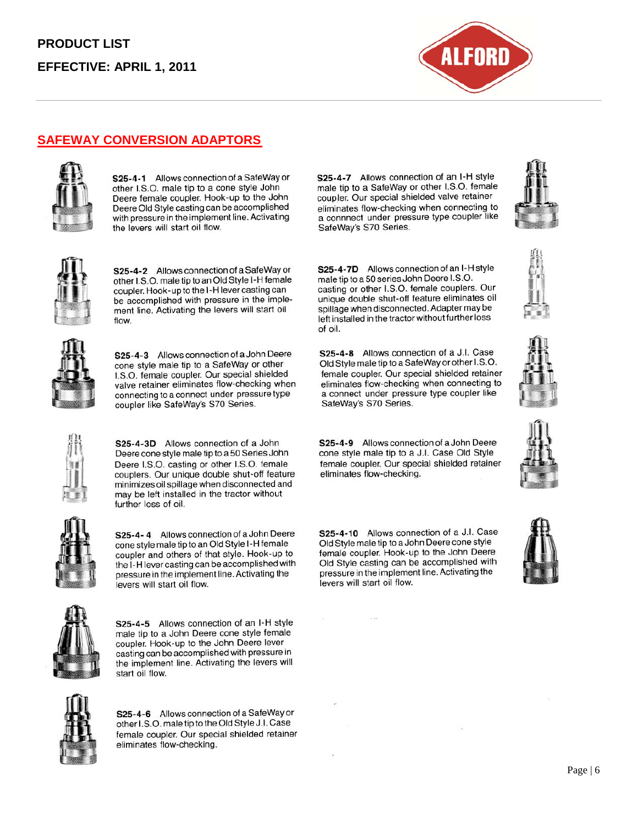

## **SAFEWAY CONVERSION ADAPTORS**



S25-4-1 Allows connection of a SafeWay or other I.S.O. male tip to a cone style John Deere female coupler. Hook-up to the John Deere Old Style casting can be accomplished with pressure in the implement line. Activating the levers will start oil flow.



S25-4-2 Allows connection of a SafeWay or other I.S.O. male tip to an Old Style I-H female coupler. Hook-up to the I-H lever casting can be accomplished with pressure in the implement line. Activating the levers will start oil flow.



S25-4-3 Allows connection of a John Deere cone style male tip to a SafeWay or other I.S.O. female coupler. Our special shielded valve retainer eliminates flow-checking when connecting to a connect under pressure type coupler like SafeWay's S70 Series.

S25-4-3D Allows connection of a John Deere cone style male tip to a 50 Series John Deere I.S.O. casting or other I.S.O. female couplers. Our unique double shut-off feature minimizes oil spillage when disconnected and may be left installed in the tractor without further loss of oil.



S25-4-4 Allows connection of a John Deere cone style male tip to an Old Style I-H female coupler and others of that style. Hook-up to the I-H lever casting can be accomplished with pressure in the implement line. Activating the levers will start oil flow.



S25-4-5 Allows connection of an I-H style male tip to a John Deere cone style female coupler. Hook-up to the John Deere lever casting can be accomplished with pressure in the implement line. Activating the levers will start oil flow.



S25-4-6 Allows connection of a SafeWay or other I.S.O. male tip to the Old Style J.I. Case female coupler. Our special shielded retainer eliminates flow-checking.

S25-4-7 Allows connection of an I-H style male tip to a SafeWay or other I.S.O. female coupler. Our special shielded valve retainer eliminates flow-checking when connecting to a connnect under pressure type coupler like SafeWay's S70 Series.

S25-4-7D Allows connection of an I-H style

casting or other I.S.O. female couplers. Our unique double shut-off feature eliminates oil

spillage when disconnected. Adapter may be

left installed in the tractor without further loss

S25-4-8 Allows connection of a J.I. Case

Old Style male tip to a SafeWay or other I.S.O.

female coupler. Our special shielded retainer eliminates flow-checking when connecting to

a connect under pressure type coupler like

SafeWay's S70 Series.

male tip to a 50 series John Deere I.S.O.

of oil.







S25-4-9 Allows connection of a John Deere cone style male tip to a J.I. Case Old Style female coupler. Our special shielded retainer eliminates flow-checking.

S25-4-10 Allows connection of a J.I. Case Old Style male tip to a John Deere cone style female coupler. Hook-up to the John Deere Old Style casting can be accomplished with pressure in the implement line. Activating the levers will start oil flow.

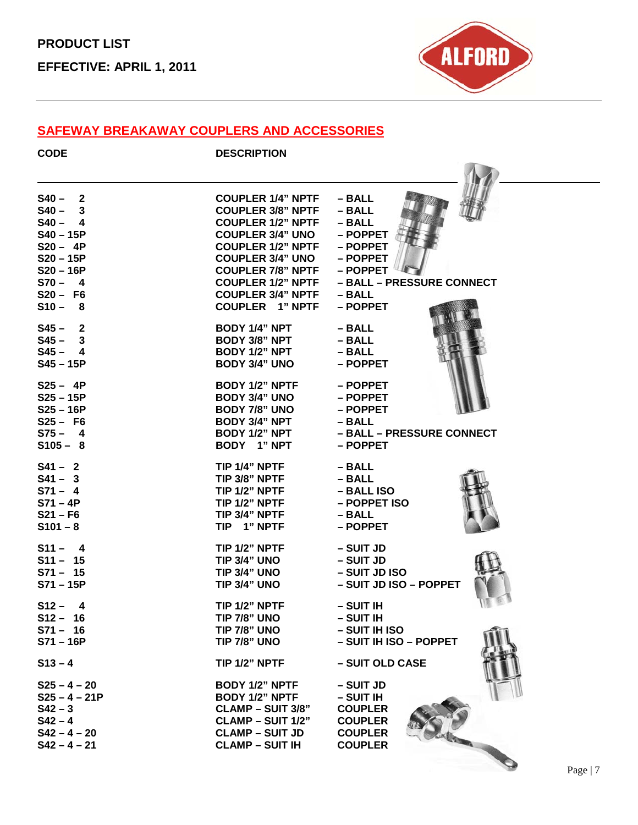

#### **SAFEWAY BREAKAWAY COUPLERS AND ACCESSORIES**

| <b>CODE</b>     | <b>DESCRIPTION</b>       |                           |
|-----------------|--------------------------|---------------------------|
|                 |                          |                           |
| $S40 - 2$       | <b>COUPLER 1/4" NPTF</b> | $-$ BALL                  |
| $S40 - 3$       | <b>COUPLER 3/8" NPTF</b> | $-$ BALL                  |
| $S40 - 4$       | <b>COUPLER 1/2" NPTF</b> | $-$ BALL                  |
| $S40 - 15P$     | <b>COUPLER 3/4" UNO</b>  | - POPPET                  |
| $S20 - 4P$      | <b>COUPLER 1/2" NPTF</b> | - POPPET                  |
| $S20 - 15P$     | <b>COUPLER 3/4" UNO</b>  | - POPPET                  |
| $S20 - 16P$     | <b>COUPLER 7/8" NPTF</b> | - POPPET                  |
| $S70 - 4$       | <b>COUPLER 1/2" NPTF</b> | - BALL - PRESSURE CONNECT |
| $S20 - F6$      | <b>COUPLER 3/4" NPTF</b> | $-$ BALL                  |
| $S10 -$<br>- 8  | <b>COUPLER 1" NPTF</b>   | - POPPET                  |
| $S45 - 2$       | <b>BODY 1/4" NPT</b>     | – BALL                    |
| $S45 - 3$       | <b>BODY 3/8" NPT</b>     | $-$ BALL                  |
| $S45 - 4$       | BODY 1/2" NPT            | – BALL                    |
| $S45 - 15P$     | <b>BODY 3/4" UNO</b>     | - POPPET                  |
| $S25 - 4P$      | <b>BODY 1/2" NPTF</b>    | - POPPET                  |
| $S25 - 15P$     | <b>BODY 3/4" UNO</b>     | - POPPET                  |
| $S25 - 16P$     | <b>BODY 7/8" UNO</b>     | - POPPET                  |
| $S25 - F6$      | <b>BODY 3/4" NPT</b>     | $-$ BALL                  |
| $S75 - 4$       | <b>BODY 1/2" NPT</b>     | - BALL - PRESSURE CONNECT |
| $S105 - 8$      | BODY 1" NPT              | - POPPET                  |
| $S41 - 2$       | TIP 1/4" NPTF            | – BALL                    |
| $S41 - 3$       | TIP 3/8" NPTF            | – BALL                    |
| $S71 - 4$       | TIP 1/2" NPTF            | - BALL ISO                |
| $S71 - 4P$      | TIP 1/2" NPTF            | - POPPET ISO              |
| $S21 - F6$      | TIP 3/4" NPTF            | – BALL                    |
| $$101 - 8$      | TIP 1" NPTF              | – POPPET                  |
| $S11 - 4$       | TIP 1/2" NPTF            | – SUIT JD                 |
| $S11 - 15$      | TIP 3/4" UNO             | – SUIT JD                 |
| $S71 - 15$      | TIP 3/4" UNO             | - SUIT JD ISO             |
| $S71 - 15P$     | TIP 3/4" UNO             | - SUIT JD ISO - POPPET    |
| $S12 -$<br>4    | TIP 1/2" NPTF            | - SUIT IH                 |
| $S12 - 16$      | <b>TIP 7/8" UNO</b>      | - SUIT IH                 |
| $S71 - 16$      | <b>TIP 7/8" UNO</b>      | - SUIT IH ISO             |
| $S71 - 16P$     | <b>TIP 7/8" UNO</b>      | - SUIT IH ISO - POPPET    |
| $S13 - 4$       | TIP 1/2" NPTF            | - SUIT OLD CASE           |
| $S25 - 4 - 20$  | <b>BODY 1/2" NPTF</b>    | - SUIT JD                 |
| $S25 - 4 - 21P$ | <b>BODY 1/2" NPTF</b>    | - SUIT IH                 |
| $S42 - 3$       | <b>CLAMP – SUIT 3/8"</b> | <b>COUPLER</b>            |
| $S42 - 4$       | <b>CLAMP – SUIT 1/2"</b> | <b>COUPLER</b>            |
| $S42 - 4 - 20$  | <b>CLAMP - SUIT JD</b>   | <b>COUPLER</b>            |
| $S42 - 4 - 21$  | <b>CLAMP - SUIT IH</b>   | <b>COUPLER</b>            |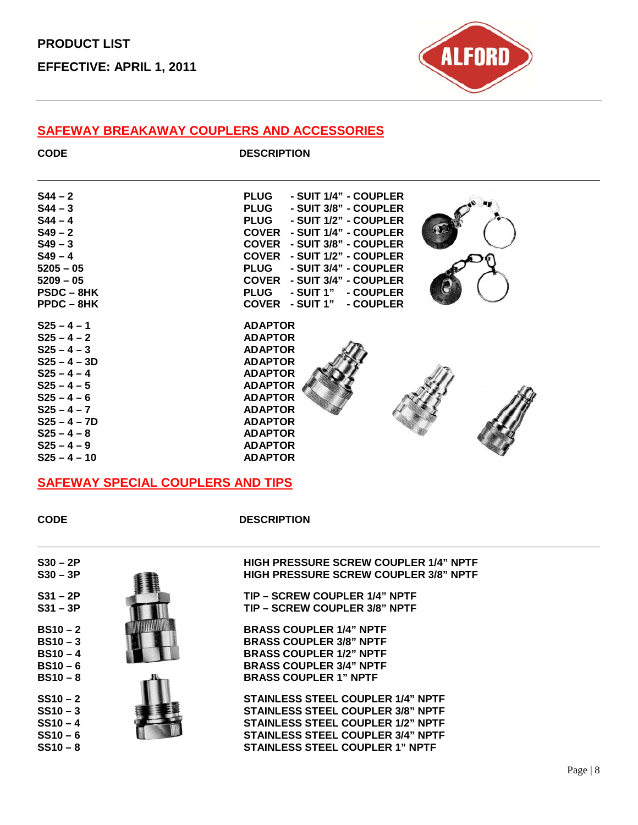**PRODUCT LIST EFFECTIVE: APRIL 1, 2011**



#### **SAFEWAY BREAKAWAY COUPLERS AND ACCESSORIES**

| ×<br>× |  |
|--------|--|

**CODE DESCRIPTION** 

| $S44 - 2$<br>$S44 - 3$<br>$S44 - 4$<br>$S49 - 2$<br>$S49 - 3$<br>$S49 - 4$<br>$5205 - 05$<br>$5209 - 05$<br><b>PSDC-8HK</b><br>$PPDC - 8HK$ | <b>PLUG</b><br>- SUIT 1/4" - COUPLER<br><b>PLUG</b><br>- SUIT 3/8" - COUPLER<br>PLUG - SUIT 1/2" - COUPLER<br><b>COVER - SUIT 1/4" - COUPLER</b><br>COVER - SUIT 3/8" - COUPLER<br>COVER - SUIT 1/2" - COUPLER<br>PLUG - SUIT 3/4" - COUPLER<br><b>COVER - SUIT 3/4" - COUPLER</b><br>PLUG - SUIT 1" - COUPLER<br>COVER - SUIT 1" - COUPLER |
|---------------------------------------------------------------------------------------------------------------------------------------------|---------------------------------------------------------------------------------------------------------------------------------------------------------------------------------------------------------------------------------------------------------------------------------------------------------------------------------------------|
| $S25 - 4 - 1$                                                                                                                               | <b>ADAPTOR</b>                                                                                                                                                                                                                                                                                                                              |
| $S25 - 4 - 2$                                                                                                                               | <b>ADAPTOR</b>                                                                                                                                                                                                                                                                                                                              |
| $S25 - 4 - 3$                                                                                                                               | <b>ADAPTOR</b>                                                                                                                                                                                                                                                                                                                              |
| $S25 - 4 - 3D$                                                                                                                              | <b>ADAPTOR</b>                                                                                                                                                                                                                                                                                                                              |
| $S25 - 4 - 4$                                                                                                                               | <b>ADAPTOR</b>                                                                                                                                                                                                                                                                                                                              |
| $S25 - 4 - 5$                                                                                                                               | <b>ADAPTOR</b>                                                                                                                                                                                                                                                                                                                              |
| $S25 - 4 - 6$                                                                                                                               | <b>ADAPTOR</b>                                                                                                                                                                                                                                                                                                                              |
| $S25 - 4 - 7$                                                                                                                               | <b>ADAPTOR</b>                                                                                                                                                                                                                                                                                                                              |
| $S25 - 4 - 7D$                                                                                                                              | <b>ADAPTOR</b>                                                                                                                                                                                                                                                                                                                              |
| $S25 - 4 - 8$                                                                                                                               | <b>ADAPTOR</b>                                                                                                                                                                                                                                                                                                                              |
| $S25 - 4 - 9$                                                                                                                               | <b>ADAPTOR</b>                                                                                                                                                                                                                                                                                                                              |
| $S25 - 4 - 10$                                                                                                                              | <b>ADAPTOR</b>                                                                                                                                                                                                                                                                                                                              |

**CODE DESCRIPTION** 

**S30 – 3P HIGH PRESSURE SCREW COUPLER 3/8" NPTF** 

**S31 – 3P TIP – SCREW COUPLER 3/8" NPTF** 

**SS10 – 3 STAINLESS STEEL COUPLER 3/8" NPTF**

**STAINLESS STEEL COUPLER 1" NPTF** 

**BRASS COUPLER 1" NPTF** 

## **SAFEWAY SPECIAL COUPLERS AND TIPS**

**S30 – 2P HIGH PRESSURE SCREW COUPLER 1/4" NPTF**

**S31 – 2P TIP – SCREW COUPLER 1/4" NPTF**<br> **S31 – 3P TIP – SCREW COUPLER 3/8" NPTF** 

**SS10 – 2**<br>STAINLESS STEEL COUPLER 1/4" NPTF<br>STAINLESS STEEL COUPLER 3/8" NPTF

**SS10 − 4** STAINLESS STEEL COUPLER 1/2" NPTF<br>SS10 − 6 STAINLESS STEEL COUPLER 3/4" NPTF **SS10 – 6 STAINLESS STEEL COUPLER 3/4" NPTF**

**BS10 − 2**<br>**BRASS COUPLER 1/4" NPTF**<br>**BRASS COUPLER 3/8" NPTF BS10 – 3**<br>**BRASS COUPLER 3/8" NPTF**<br>**BRASS COUPLER 1/2" NPTF BS10 – 4**<br>BRASS COUPLER 1/2" NPTF<br>BRASS COUPLER 3/4" NPTF **BS10 – 6**<br>**BRASS COUPLER 3/4" NPTF**<br>**BRASS COUPLER 1" NPTF**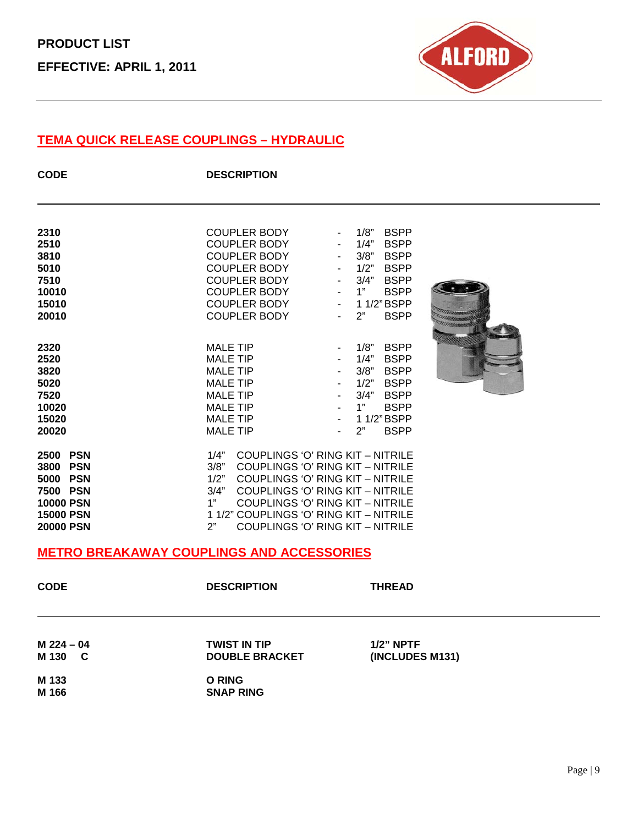

# **TEMA QUICK RELEASE COUPLINGS – HYDRAULIC**

| <b>CODE</b>                                                                                              | <b>DESCRIPTION</b>                                                                                                                                                                   |                                                                                                                                                                                                                                                         |
|----------------------------------------------------------------------------------------------------------|--------------------------------------------------------------------------------------------------------------------------------------------------------------------------------------|---------------------------------------------------------------------------------------------------------------------------------------------------------------------------------------------------------------------------------------------------------|
| 2310<br>2510<br>3810<br>5010<br>7510<br>10010<br>15010<br>20010                                          | <b>COUPLER BODY</b><br><b>COUPLER BODY</b><br><b>COUPLER BODY</b><br><b>COUPLER BODY</b><br><b>COUPLER BODY</b><br><b>COUPLER BODY</b><br><b>COUPLER BODY</b><br><b>COUPLER BODY</b> | 1/8"<br><b>BSPP</b><br>1/4"<br><b>BSPP</b><br>3/8"<br><b>BSPP</b><br>1/2"<br><b>BSPP</b><br>3/4"<br><b>BSPP</b><br>1"<br><b>BSPP</b><br>1 1/2" BSPP<br>$\blacksquare$<br>2"<br><b>BSPP</b>                                                              |
| 2320<br>2520<br>3820<br>5020<br>7520<br>10020<br>15020<br>20020                                          | <b>MALE TIP</b><br><b>MALE TIP</b><br><b>MALE TIP</b><br><b>MALE TIP</b><br><b>MALE TIP</b><br><b>MALE TIP</b><br><b>MALE TIP</b><br><b>MALE TIP</b>                                 | 1/8"<br><b>BSPP</b><br>$\blacksquare$<br>1/4"<br><b>BSPP</b><br>3/8"<br><b>BSPP</b><br>1/2"<br><b>BSPP</b><br>3/4"<br><b>BSPP</b><br>1"<br><b>BSPP</b><br>1 1/2" BSPP<br><b>BSPP</b><br>2"                                                              |
| 2500 PSN<br>3800 PSN<br>5000 PSN<br>7500 PSN<br><b>10000 PSN</b><br><b>15000 PSN</b><br><b>20000 PSN</b> | 1/4"<br>3/8"<br>1/2"<br>3/4"<br>1"<br>1 1/2" COUPLINGS 'O' RING KIT - NITRILE<br>2"                                                                                                  | <b>COUPLINGS 'O' RING KIT - NITRILE</b><br>COUPLINGS 'O' RING KIT - NITRILE<br><b>COUPLINGS 'O' RING KIT - NITRILE</b><br><b>COUPLINGS 'O' RING KIT - NITRILE</b><br><b>COUPLINGS 'O' RING KIT - NITRILE</b><br><b>COUPLINGS 'O' RING KIT - NITRILE</b> |
|                                                                                                          | <b>METRO BREAKAWAY COUPLINGS AND ACCESSORIES</b>                                                                                                                                     |                                                                                                                                                                                                                                                         |
| <b>CODE</b>                                                                                              | <b>DESCRIPTION</b>                                                                                                                                                                   | <b>THREAD</b>                                                                                                                                                                                                                                           |
| $M$ 224 - 04<br>M 130<br>C                                                                               | <b>TWIST IN TIP</b><br><b>DOUBLE BRACKET</b>                                                                                                                                         | $1/2$ " NPTF<br>(INCLUDES M131)                                                                                                                                                                                                                         |
| M 133<br>M 166                                                                                           | <b>O RING</b><br><b>SNAP RING</b>                                                                                                                                                    |                                                                                                                                                                                                                                                         |